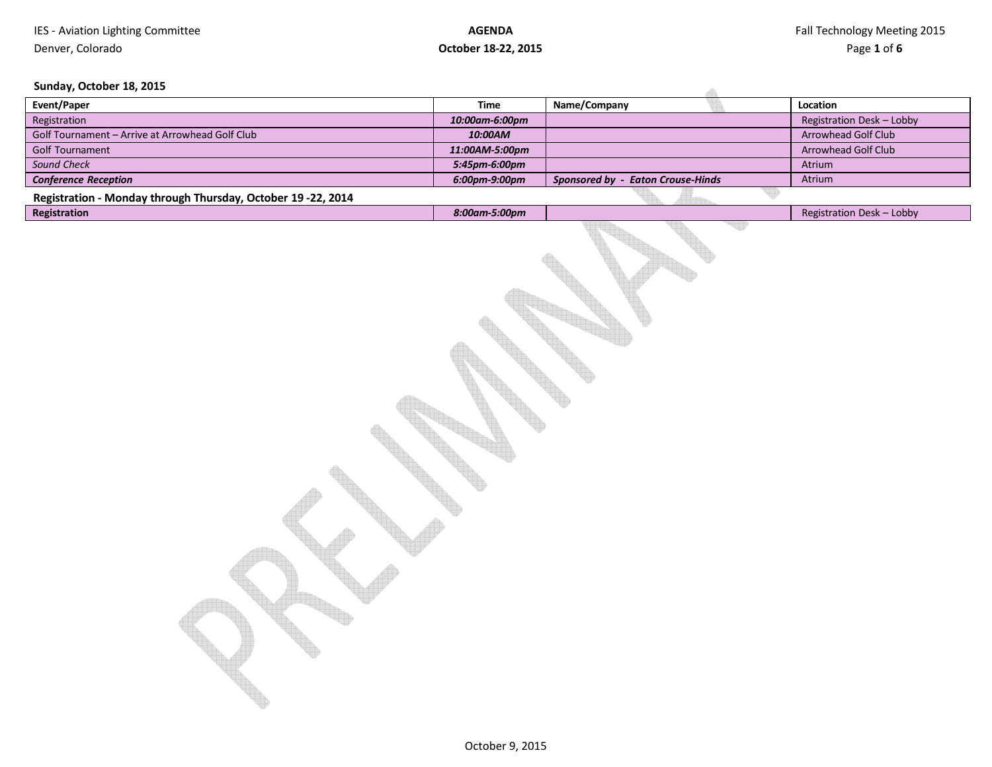A

### **Sunday, October 18, 2015**

| Event/Paper                                                  | Time           | Name/Company                             | Location                  |
|--------------------------------------------------------------|----------------|------------------------------------------|---------------------------|
| Registration                                                 | 10:00am-6:00pm |                                          | Registration Desk - Lobby |
| Golf Tournament - Arrive at Arrowhead Golf Club              | 10:00AM        |                                          | Arrowhead Golf Club       |
| Golf Tournament                                              | 11:00AM-5:00pm |                                          | Arrowhead Golf Club       |
| Sound Check                                                  | 5:45pm-6:00pm  |                                          | Atrium                    |
| <b>Conference Reception</b>                                  | 6:00pm-9:00pm  | <b>Sponsored by - Eaton Crouse-Hinds</b> | Atrium                    |
| Registration - Monday through Thursday, October 19 -22, 2014 |                |                                          |                           |
| Registration                                                 | 8:00am-5:00pm  |                                          | Registration Desk - Lobby |
|                                                              |                |                                          |                           |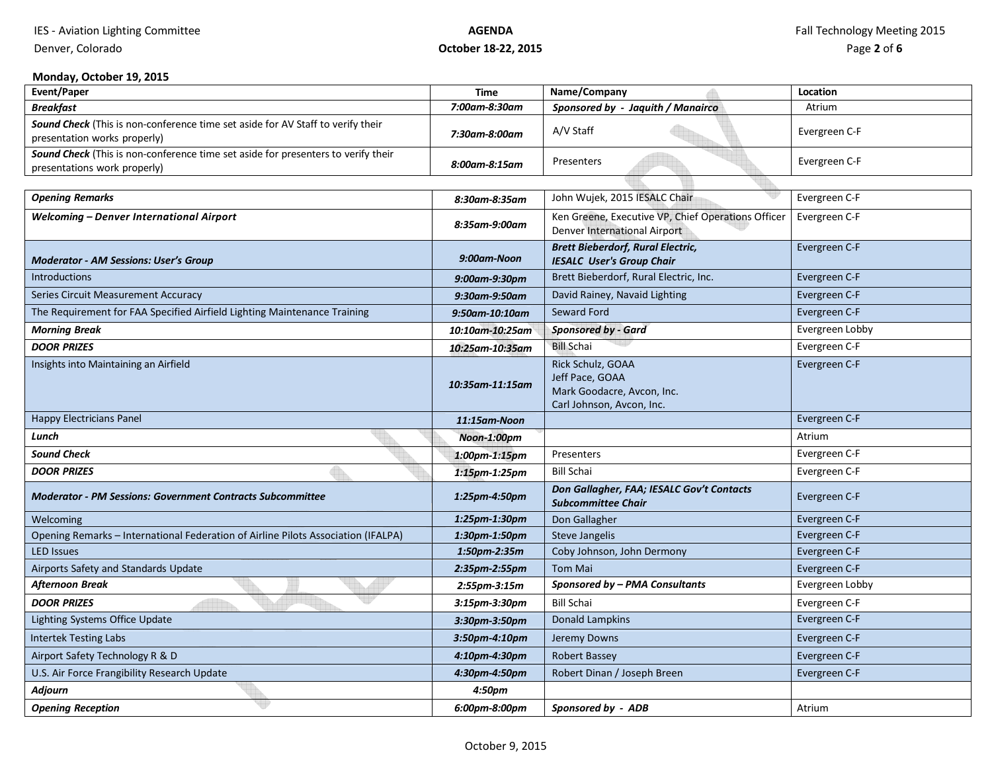IES - Aviation Lighting Committee

# **AGENDAOctober 18-22, 2015**

# **Monday, October 19, 2015**

Denver, Colorado

| <b>Event/Paper</b>                                                                                                | <b>Time</b>      | Name/Company                                                                                    | Location        |
|-------------------------------------------------------------------------------------------------------------------|------------------|-------------------------------------------------------------------------------------------------|-----------------|
| <b>Breakfast</b>                                                                                                  | 7:00am-8:30am    | Sponsored by - Jaquith / Manairco                                                               | Atrium          |
| Sound Check (This is non-conference time set aside for AV Staff to verify their<br>presentation works properly)   | 7:30am-8:00am    | A/V Staff                                                                                       | Evergreen C-F   |
| Sound Check (This is non-conference time set aside for presenters to verify their<br>presentations work properly) | 8:00am-8:15am    | Presenters                                                                                      | Evergreen C-F   |
|                                                                                                                   |                  |                                                                                                 |                 |
| <b>Opening Remarks</b>                                                                                            | 8:30am-8:35am    | John Wujek, 2015 IESALC Chair                                                                   | Evergreen C-F   |
| <b>Welcoming - Denver International Airport</b>                                                                   | 8:35am-9:00am    | Ken Greene, Executive VP, Chief Operations Officer<br>Denver International Airport              | Evergreen C-F   |
| <b>Moderator - AM Sessions: User's Group</b>                                                                      | 9:00am-Noon      | <b>Brett Bieberdorf, Rural Electric,</b><br><b>IESALC User's Group Chair</b>                    | Evergreen C-F   |
| <b>Introductions</b>                                                                                              | 9:00am-9:30pm    | Brett Bieberdorf, Rural Electric, Inc.                                                          | Evergreen C-F   |
| Series Circuit Measurement Accuracy                                                                               | 9:30am-9:50am    | David Rainey, Navaid Lighting                                                                   | Evergreen C-F   |
| The Requirement for FAA Specified Airfield Lighting Maintenance Training                                          | 9:50am-10:10am   | Seward Ford                                                                                     | Evergreen C-F   |
| <b>Morning Break</b>                                                                                              | 10:10am-10:25am  | <b>Sponsored by - Gard</b>                                                                      | Evergreen Lobby |
| <b>DOOR PRIZES</b>                                                                                                | 10:25am-10:35am  | <b>Bill Schai</b>                                                                               | Evergreen C-F   |
| Insights into Maintaining an Airfield                                                                             | 10:35am-11:15am  | Rick Schulz, GOAA<br>Jeff Pace, GOAA<br>Mark Goodacre, Avcon, Inc.<br>Carl Johnson, Avcon, Inc. | Evergreen C-F   |
| <b>Happy Electricians Panel</b>                                                                                   | 11:15am-Noon     |                                                                                                 | Evergreen C-F   |
| Lunch                                                                                                             | Noon-1:00pm      |                                                                                                 | Atrium          |
| <b>Sound Check</b>                                                                                                | 1:00pm-1:15pm    | Presenters                                                                                      | Evergreen C-F   |
| <b>DOOR PRIZES</b>                                                                                                | 1:15pm-1:25pm    | <b>Bill Schai</b>                                                                               | Evergreen C-F   |
| <b>Moderator - PM Sessions: Government Contracts Subcommittee</b>                                                 | 1:25pm-4:50pm    | Don Gallagher, FAA; IESALC Gov't Contacts<br><b>Subcommittee Chair</b>                          | Evergreen C-F   |
| Welcoming                                                                                                         | 1:25pm-1:30pm    | Don Gallagher                                                                                   | Evergreen C-F   |
| Opening Remarks - International Federation of Airline Pilots Association (IFALPA)                                 | 1:30pm-1:50pm    | Steve Jangelis                                                                                  | Evergreen C-F   |
| <b>LED Issues</b>                                                                                                 | 1:50pm-2:35m     | Coby Johnson, John Dermony                                                                      | Evergreen C-F   |
| Airports Safety and Standards Update                                                                              | 2:35pm-2:55pm    | <b>Tom Mai</b>                                                                                  | Evergreen C-F   |
| Afternoon Break                                                                                                   | 2:55pm-3:15m     | Sponsored by - PMA Consultants                                                                  | Evergreen Lobby |
| <b>DOOR PRIZES</b>                                                                                                | 3:15pm-3:30pm    | <b>Bill Schai</b>                                                                               | Evergreen C-F   |
| Lighting Systems Office Update                                                                                    | 3:30pm-3:50pm    | <b>Donald Lampkins</b>                                                                          | Evergreen C-F   |
| <b>Intertek Testing Labs</b>                                                                                      | $3:50$ pm-4:10pm | Jeremy Downs                                                                                    | Evergreen C-F   |
| Airport Safety Technology R & D                                                                                   | 4:10pm-4:30pm    | Robert Bassey                                                                                   | Evergreen C-F   |
| U.S. Air Force Frangibility Research Update                                                                       | 4:30pm-4:50pm    | Robert Dinan / Joseph Breen                                                                     | Evergreen C-F   |
| Adjourn                                                                                                           | 4:50pm           |                                                                                                 |                 |
| <b>Opening Reception</b>                                                                                          | 6:00pm-8:00pm    | Sponsored by - ADB                                                                              | Atrium          |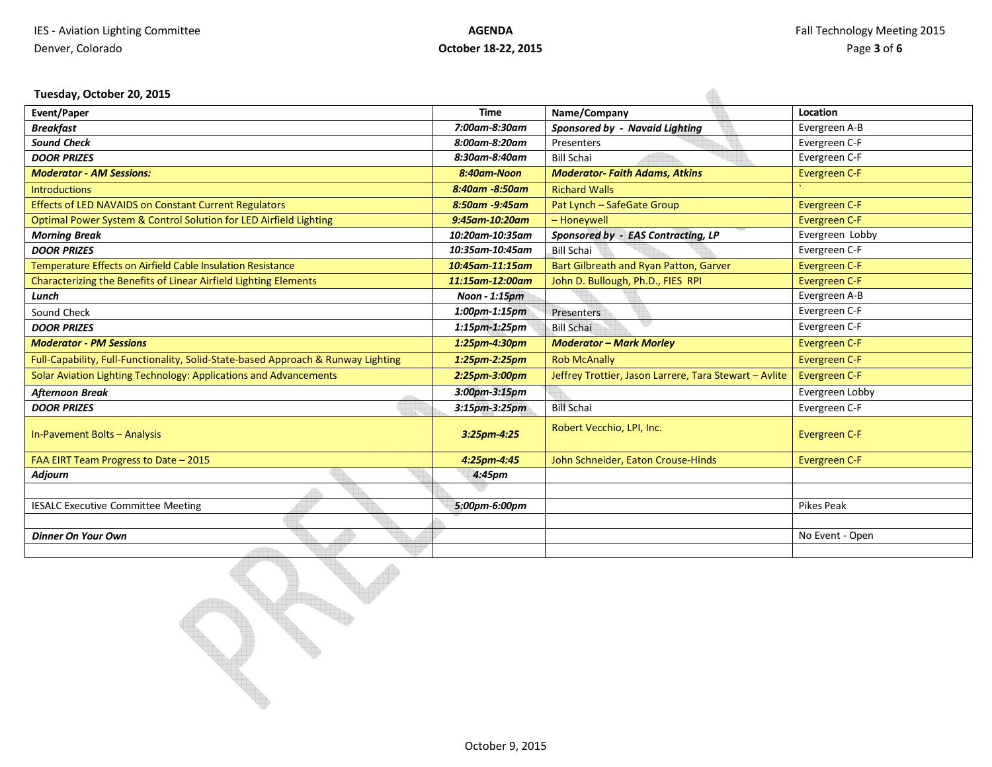### **Tuesday, October 20, 2015**

| Tuesday, October 20, 2015                                                         |                 |                                                        |                      |
|-----------------------------------------------------------------------------------|-----------------|--------------------------------------------------------|----------------------|
| Event/Paper                                                                       | <b>Time</b>     | Name/Company                                           | Location             |
| <b>Breakfast</b>                                                                  | 7:00am-8:30am   | Sponsored by - Navaid Lighting                         | Evergreen A-B        |
| <b>Sound Check</b>                                                                | 8:00am-8:20am   | Presenters                                             | Evergreen C-F        |
| <b>DOOR PRIZES</b>                                                                | 8:30am-8:40am   | <b>Bill Schai</b>                                      | Evergreen C-F        |
| <b>Moderator - AM Sessions:</b>                                                   | 8:40am-Noon     | <b>Moderator-Faith Adams, Atkins</b>                   | Evergreen C-F        |
| <b>Introductions</b>                                                              | 8:40am -8:50am  | <b>Richard Walls</b>                                   |                      |
| Effects of LED NAVAIDS on Constant Current Regulators                             | 8:50am -9:45am  | Pat Lynch - SafeGate Group                             | Evergreen C-F        |
| Optimal Power System & Control Solution for LED Airfield Lighting                 | 9:45am-10:20am  | - Honeywell                                            | Evergreen C-F        |
| <b>Morning Break</b>                                                              | 10:20am-10:35am | Sponsored by - EAS Contracting, LP                     | Evergreen Lobby      |
| <b>DOOR PRIZES</b>                                                                | 10:35am-10:45am | <b>Bill Schai</b>                                      | Evergreen C-F        |
| Temperature Effects on Airfield Cable Insulation Resistance                       | 10:45am-11:15am | Bart Gilbreath and Ryan Patton, Garver                 | Evergreen C-F        |
| Characterizing the Benefits of Linear Airfield Lighting Elements                  | 11:15am-12:00am | John D. Bullough, Ph.D., FIES RPI                      | Evergreen C-F        |
| Lunch                                                                             | Noon - 1:15pm   |                                                        | Evergreen A-B        |
| Sound Check                                                                       | 1:00pm-1:15pm   | Presenters                                             | Evergreen C-F        |
| <b>DOOR PRIZES</b>                                                                | 1:15pm-1:25pm   | <b>Bill Schai</b>                                      | Evergreen C-F        |
| <b>Moderator - PM Sessions</b>                                                    | 1:25pm-4:30pm   | <b>Moderator - Mark Morley</b>                         | Evergreen C-F        |
| Full-Capability, Full-Functionality, Solid-State-based Approach & Runway Lighting | 1:25pm-2:25pm   | <b>Rob McAnally</b>                                    | Evergreen C-F        |
| Solar Aviation Lighting Technology: Applications and Advancements                 | 2:25pm-3:00pm   | Jeffrey Trottier, Jason Larrere, Tara Stewart - Avlite | Evergreen C-F        |
| <b>Afternoon Break</b>                                                            | 3:00pm-3:15pm   |                                                        | Evergreen Lobby      |
| <b>DOOR PRIZES</b>                                                                | 3:15pm-3:25pm   | <b>Bill Schai</b>                                      | Evergreen C-F        |
| In-Pavement Bolts - Analysis                                                      | 3:25pm-4:25     | Robert Vecchio, LPI, Inc.                              | <b>Evergreen C-F</b> |
| FAA EIRT Team Progress to Date - 2015                                             | 4:25pm-4:45     | John Schneider, Eaton Crouse-Hinds                     | <b>Evergreen C-F</b> |
| <b>Adjourn</b>                                                                    | 4:45pm          |                                                        |                      |
|                                                                                   |                 |                                                        |                      |
| <b>IESALC Executive Committee Meeting</b>                                         | 5:00pm-6:00pm   |                                                        | Pikes Peak           |
|                                                                                   |                 |                                                        |                      |
| <b>Dinner On Your Own</b>                                                         |                 |                                                        | No Event - Open      |
|                                                                                   |                 |                                                        |                      |

 $\blacklozenge$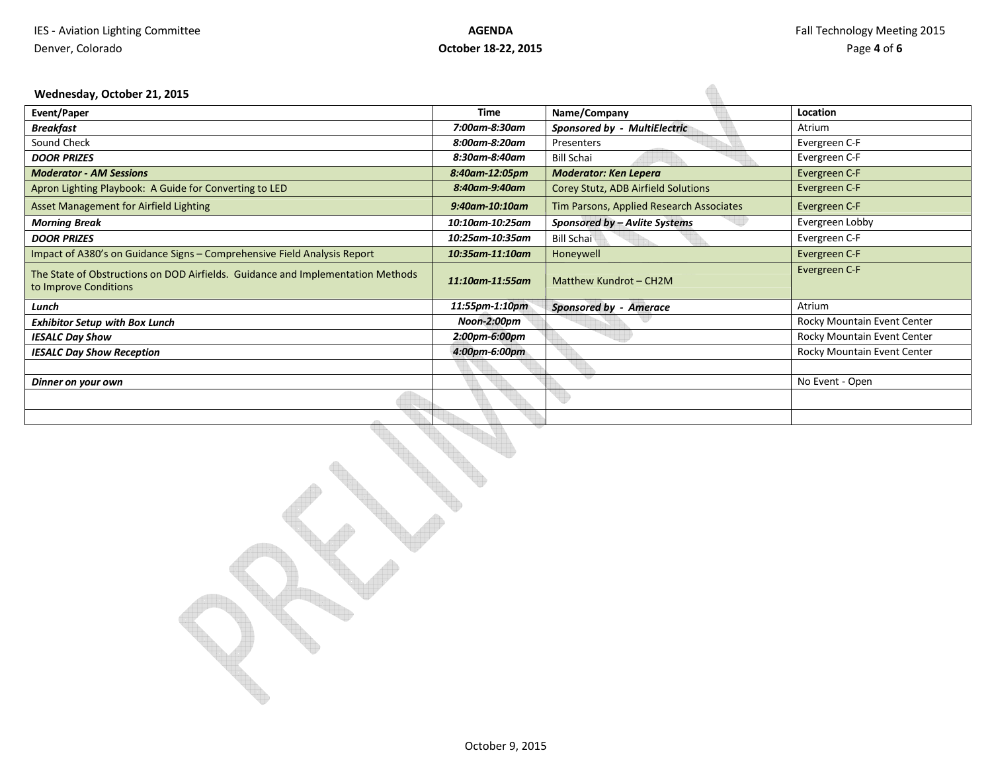$\bigoplus$ 

### **Wednesday, October 21, 2015**

| <b>Event/Paper</b>                                                                                       | Time            | Name/Company                             | Location                    |
|----------------------------------------------------------------------------------------------------------|-----------------|------------------------------------------|-----------------------------|
| <b>Breakfast</b>                                                                                         | 7:00am-8:30am   | <b>Sponsored by - MultiElectric</b>      | Atrium                      |
| Sound Check                                                                                              | 8:00am-8:20am   | Presenters                               | Evergreen C-F               |
| <b>DOOR PRIZES</b>                                                                                       | 8:30am-8:40am   | <b>Bill Schai</b>                        | Evergreen C-F               |
| <b>Moderator - AM Sessions</b>                                                                           | 8:40am-12:05pm  | <b>Moderator: Ken Lepera</b>             | Evergreen C-F               |
| Apron Lighting Playbook: A Guide for Converting to LED                                                   | 8:40am-9:40am   | Corey Stutz, ADB Airfield Solutions      | Evergreen C-F               |
| <b>Asset Management for Airfield Lighting</b>                                                            | 9:40am-10:10am  | Tim Parsons, Applied Research Associates | Evergreen C-F               |
| <b>Morning Break</b>                                                                                     | 10:10am-10:25am | Sponsored by - Avlite Systems            | Evergreen Lobby             |
| <b>DOOR PRIZES</b>                                                                                       | 10:25am-10:35am | <b>Bill Schai</b>                        | Evergreen C-F               |
| Impact of A380's on Guidance Signs - Comprehensive Field Analysis Report                                 | 10:35am-11:10am | Honeywell                                | Evergreen C-F               |
| The State of Obstructions on DOD Airfields. Guidance and Implementation Methods<br>to Improve Conditions | 11:10am-11:55am | Matthew Kundrot - CH2M                   | Evergreen C-F               |
| Lunch                                                                                                    | 11:55pm-1:10pm  | <b>Sponsored by - Amerace</b>            | Atrium                      |
| <b>Exhibitor Setup with Box Lunch</b>                                                                    | Noon-2:00pm     |                                          | Rocky Mountain Event Center |
| <b>IESALC Day Show</b>                                                                                   | 2:00pm-6:00pm   |                                          | Rocky Mountain Event Center |
| <b>IESALC Day Show Reception</b>                                                                         | 4:00pm-6:00pm   |                                          | Rocky Mountain Event Center |
|                                                                                                          |                 |                                          |                             |
| Dinner on your own                                                                                       |                 |                                          | No Event - Open             |
|                                                                                                          |                 |                                          |                             |
|                                                                                                          |                 |                                          |                             |

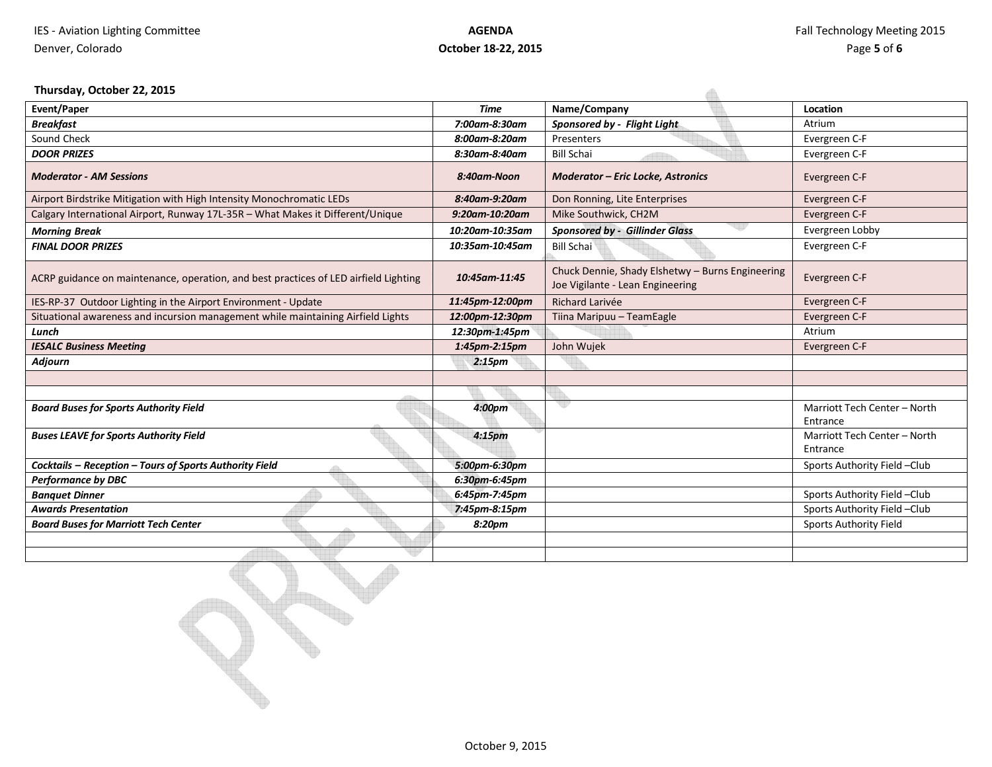### **Thursday, October 22, 2015**

| Thursday, October 22, 2015                                                           |                    |                                                                                      |                                          |
|--------------------------------------------------------------------------------------|--------------------|--------------------------------------------------------------------------------------|------------------------------------------|
| <b>Event/Paper</b>                                                                   | <b>Time</b>        | Name/Company                                                                         | Location                                 |
| <b>Breakfast</b>                                                                     | 7:00am-8:30am      | Sponsored by - Flight Light                                                          | Atrium                                   |
| Sound Check                                                                          | 8:00am-8:20am      | Presenters                                                                           | Evergreen C-F                            |
| <b>DOOR PRIZES</b>                                                                   | 8:30am-8:40am      | <b>Bill Schai</b>                                                                    | Evergreen C-F                            |
| <b>Moderator - AM Sessions</b>                                                       | 8:40am-Noon        | <b>Moderator - Eric Locke, Astronics</b>                                             | Evergreen C-F                            |
| Airport Birdstrike Mitigation with High Intensity Monochromatic LEDs                 | 8:40am-9:20am      | Don Ronning, Lite Enterprises                                                        | Evergreen C-F                            |
| Calgary International Airport, Runway 17L-35R - What Makes it Different/Unique       | 9:20am-10:20am     | Mike Southwick, CH2M                                                                 | Evergreen C-F                            |
| <b>Morning Break</b>                                                                 | 10:20am-10:35am    | <b>Sponsored by - Gillinder Glass</b>                                                | Evergreen Lobby                          |
| <b>FINAL DOOR PRIZES</b>                                                             | 10:35am-10:45am    | <b>Bill Schai</b>                                                                    | Evergreen C-F                            |
| ACRP guidance on maintenance, operation, and best practices of LED airfield Lighting | 10:45am-11:45      | Chuck Dennie, Shady Elshetwy - Burns Engineering<br>Joe Vigilante - Lean Engineering | Evergreen C-F                            |
| IES-RP-37 Outdoor Lighting in the Airport Environment - Update                       | 11:45pm-12:00pm    | Richard Larivée                                                                      | Evergreen C-F                            |
| Situational awareness and incursion management while maintaining Airfield Lights     | 12:00pm-12:30pm    | Tiina Maripuu - TeamEagle                                                            | Evergreen C-F                            |
| Lunch                                                                                | 12:30pm-1:45pm     |                                                                                      | Atrium                                   |
| <b>IESALC Business Meeting</b>                                                       | 1:45pm-2:15pm      | John Wujek                                                                           | Evergreen C-F                            |
| Adjourn                                                                              | 2:15 <sub>pm</sub> |                                                                                      |                                          |
|                                                                                      |                    |                                                                                      |                                          |
|                                                                                      |                    |                                                                                      |                                          |
| <b>Board Buses for Sports Authority Field</b>                                        | 4:00 <sub>pm</sub> | v                                                                                    | Marriott Tech Center - North<br>Entrance |
| <b>Buses LEAVE for Sports Authority Field</b>                                        | 4:15pm             |                                                                                      | Marriott Tech Center - North<br>Entrance |
| Cocktails - Reception - Tours of Sports Authority Field                              | 5:00pm-6:30pm      |                                                                                      | Sports Authority Field -Club             |
| <b>Performance by DBC</b>                                                            | 6:30pm-6:45pm      |                                                                                      |                                          |
| <b>Banquet Dinner</b>                                                                | 6:45pm-7:45pm      |                                                                                      | Sports Authority Field -Club             |
| <b>Awards Presentation</b>                                                           | 7:45pm-8:15pm      |                                                                                      | Sports Authority Field -Club             |
| <b>Board Buses for Marriott Tech Center</b>                                          | 8:20pm             |                                                                                      | <b>Sports Authority Field</b>            |
|                                                                                      |                    |                                                                                      |                                          |
|                                                                                      |                    |                                                                                      |                                          |

 $\mathcal{S}$  .